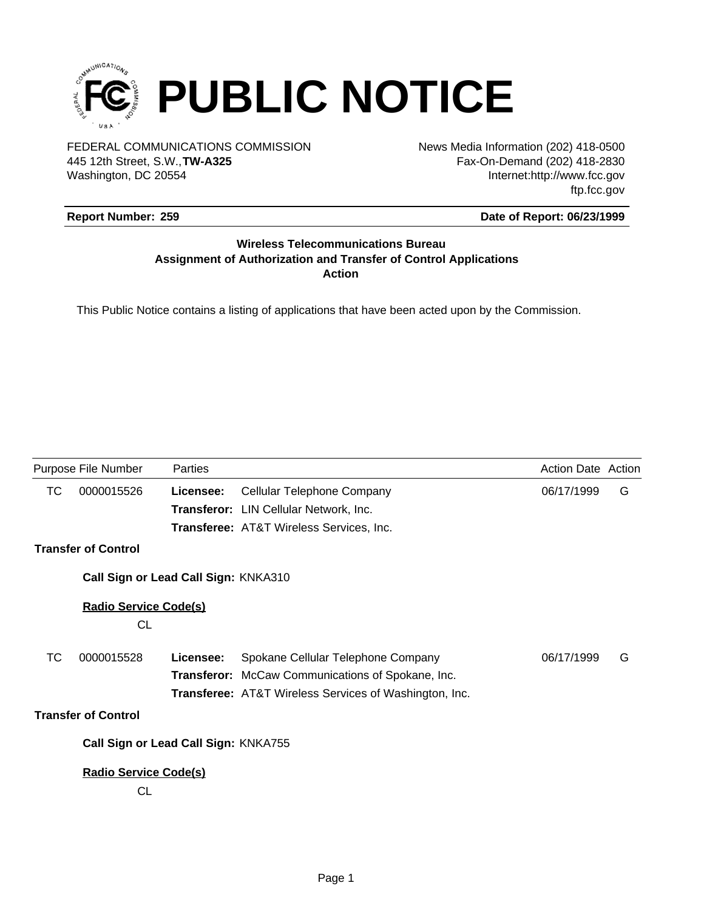

FEDERAL COMMUNICATIONS COMMISSION News Media Information (202) 418-0500 Washington, DC 20554 445 12th Street, S.W.,**TW-A325**

Fax-On-Demand (202) 418-2830 Internet:http://www.fcc.gov ftp.fcc.gov

# **Report Number: 259**

# **Date of Report: 06/23/1999**

# **Wireless Telecommunications Bureau Assignment of Authorization and Transfer of Control Applications Action**

This Public Notice contains a listing of applications that have been acted upon by the Commission.

| Purpose File Number |                                      | Parties   |                                                               | <b>Action Date Action</b> |   |
|---------------------|--------------------------------------|-----------|---------------------------------------------------------------|---------------------------|---|
| ТC                  | 0000015526                           | Licensee: | Cellular Telephone Company                                    | 06/17/1999                | G |
|                     |                                      |           | Transferor: LIN Cellular Network, Inc.                        |                           |   |
|                     |                                      |           | Transferee: AT&T Wireless Services, Inc.                      |                           |   |
|                     | <b>Transfer of Control</b>           |           |                                                               |                           |   |
|                     | Call Sign or Lead Call Sign: KNKA310 |           |                                                               |                           |   |
|                     | <b>Radio Service Code(s)</b>         |           |                                                               |                           |   |
|                     | <b>CL</b>                            |           |                                                               |                           |   |
| ТC                  | 0000015528                           | Licensee: | Spokane Cellular Telephone Company                            | 06/17/1999                | G |
|                     |                                      |           | <b>Transferor:</b> McCaw Communications of Spokane, Inc.      |                           |   |
|                     |                                      |           | <b>Transferee:</b> AT&T Wireless Services of Washington, Inc. |                           |   |
|                     | <b>Transfer of Control</b>           |           |                                                               |                           |   |
|                     | Call Sign or Lead Call Sign: KNKA755 |           |                                                               |                           |   |
|                     | <b>Radio Service Code(s)</b>         |           |                                                               |                           |   |
|                     | СL                                   |           |                                                               |                           |   |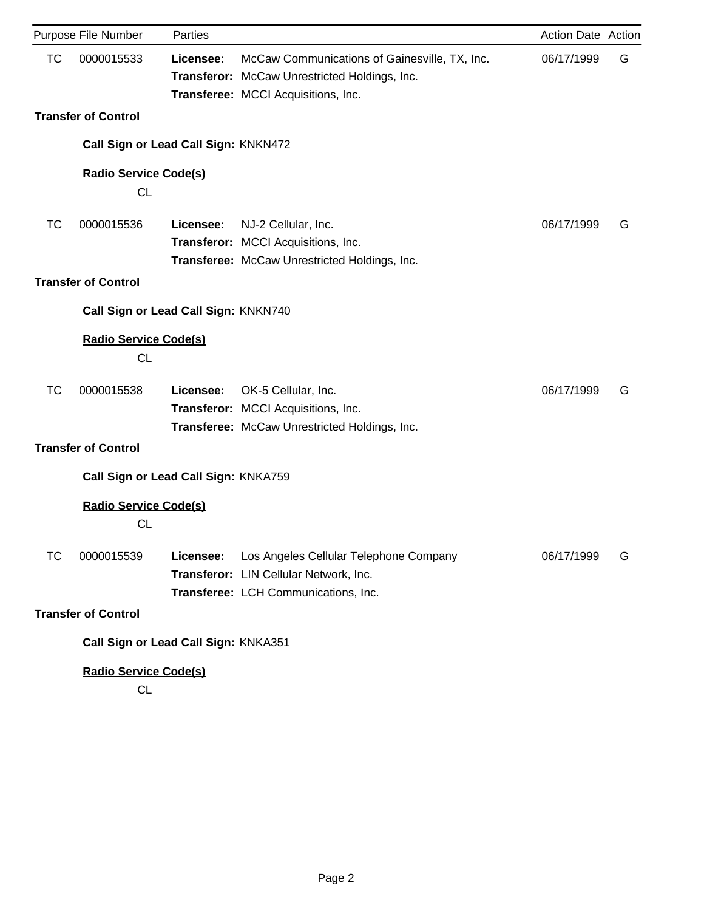|           | Purpose File Number                       | Parties   |                                                                                                                                       | Action Date Action |   |
|-----------|-------------------------------------------|-----------|---------------------------------------------------------------------------------------------------------------------------------------|--------------------|---|
| <b>TC</b> | 0000015533                                | Licensee: | McCaw Communications of Gainesville, TX, Inc.<br>Transferor: McCaw Unrestricted Holdings, Inc.<br>Transferee: MCCI Acquisitions, Inc. | 06/17/1999         | G |
|           | <b>Transfer of Control</b>                |           |                                                                                                                                       |                    |   |
|           | Call Sign or Lead Call Sign: KNKN472      |           |                                                                                                                                       |                    |   |
|           | <b>Radio Service Code(s)</b><br><b>CL</b> |           |                                                                                                                                       |                    |   |
| <b>TC</b> | 0000015536                                | Licensee: | NJ-2 Cellular, Inc.<br>Transferor: MCCI Acquisitions, Inc.<br>Transferee: McCaw Unrestricted Holdings, Inc.                           | 06/17/1999         | G |
|           | <b>Transfer of Control</b>                |           |                                                                                                                                       |                    |   |
|           | Call Sign or Lead Call Sign: KNKN740      |           |                                                                                                                                       |                    |   |
|           | <b>Radio Service Code(s)</b><br><b>CL</b> |           |                                                                                                                                       |                    |   |
| <b>TC</b> | 0000015538                                | Licensee: | OK-5 Cellular, Inc.<br>Transferor: MCCI Acquisitions, Inc.<br>Transferee: McCaw Unrestricted Holdings, Inc.                           | 06/17/1999         | G |
|           | <b>Transfer of Control</b>                |           |                                                                                                                                       |                    |   |
|           | Call Sign or Lead Call Sign: KNKA759      |           |                                                                                                                                       |                    |   |
|           | <b>Radio Service Code(s)</b><br><b>CL</b> |           |                                                                                                                                       |                    |   |
| ТC        | 0000015539                                | Licensee: | Los Angeles Cellular Telephone Company<br>Transferor: LIN Cellular Network, Inc.<br>Transferee: LCH Communications, Inc.              | 06/17/1999         | G |
|           | <b>Transfer of Control</b>                |           |                                                                                                                                       |                    |   |
|           | Call Sign or Lead Call Sign: KNKA351      |           |                                                                                                                                       |                    |   |
|           | <b>Radio Service Code(s)</b>              |           |                                                                                                                                       |                    |   |
|           |                                           |           |                                                                                                                                       |                    |   |

CL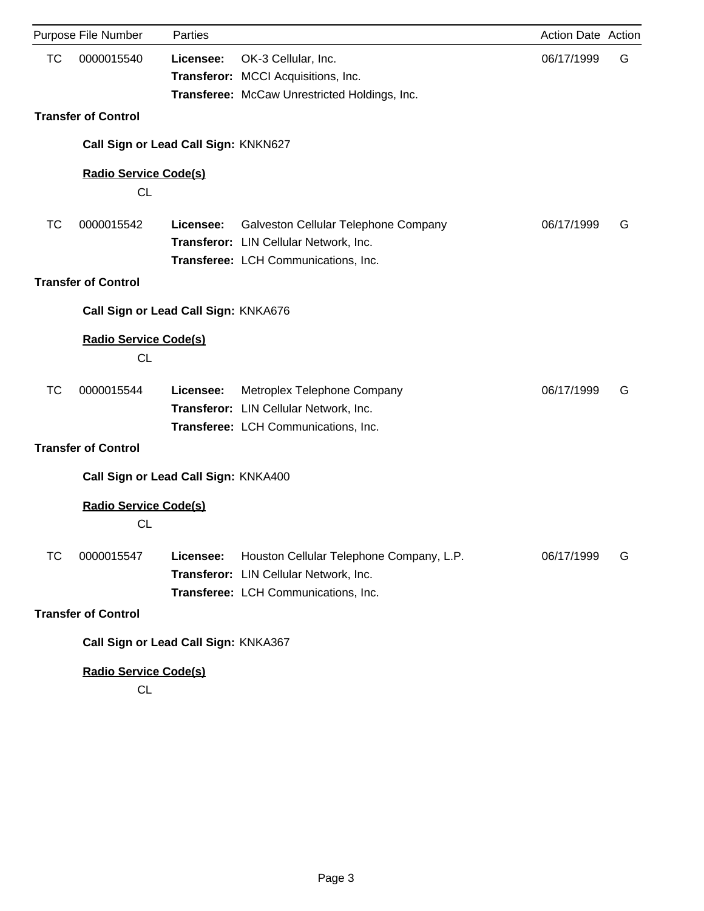|           | Purpose File Number                       | Parties   |                                                                                                                            | Action Date Action |   |
|-----------|-------------------------------------------|-----------|----------------------------------------------------------------------------------------------------------------------------|--------------------|---|
| <b>TC</b> | 0000015540                                | Licensee: | OK-3 Cellular, Inc.<br>Transferor: MCCI Acquisitions, Inc.                                                                 | 06/17/1999         | G |
|           |                                           |           | Transferee: McCaw Unrestricted Holdings, Inc.                                                                              |                    |   |
|           | <b>Transfer of Control</b>                |           |                                                                                                                            |                    |   |
|           | Call Sign or Lead Call Sign: KNKN627      |           |                                                                                                                            |                    |   |
|           | <b>Radio Service Code(s)</b><br><b>CL</b> |           |                                                                                                                            |                    |   |
| <b>TC</b> | 0000015542                                | Licensee: | Galveston Cellular Telephone Company<br>Transferor: LIN Cellular Network, Inc.<br>Transferee: LCH Communications, Inc.     | 06/17/1999         | G |
|           | <b>Transfer of Control</b>                |           |                                                                                                                            |                    |   |
|           | Call Sign or Lead Call Sign: KNKA676      |           |                                                                                                                            |                    |   |
|           | Radio Service Code(s)<br><b>CL</b>        |           |                                                                                                                            |                    |   |
| <b>TC</b> | 0000015544                                | Licensee: | Metroplex Telephone Company<br>Transferor: LIN Cellular Network, Inc.<br>Transferee: LCH Communications, Inc.              | 06/17/1999         | G |
|           | <b>Transfer of Control</b>                |           |                                                                                                                            |                    |   |
|           | Call Sign or Lead Call Sign: KNKA400      |           |                                                                                                                            |                    |   |
|           | Radio Service Code(s)<br><b>CL</b>        |           |                                                                                                                            |                    |   |
| ТC        | 0000015547                                | Licensee: | Houston Cellular Telephone Company, L.P.<br>Transferor: LIN Cellular Network, Inc.<br>Transferee: LCH Communications, Inc. | 06/17/1999         | G |
|           | <b>Transfer of Control</b>                |           |                                                                                                                            |                    |   |
|           | Call Sign or Lead Call Sign: KNKA367      |           |                                                                                                                            |                    |   |
|           | <b>Radio Service Code(s)</b>              |           |                                                                                                                            |                    |   |

CL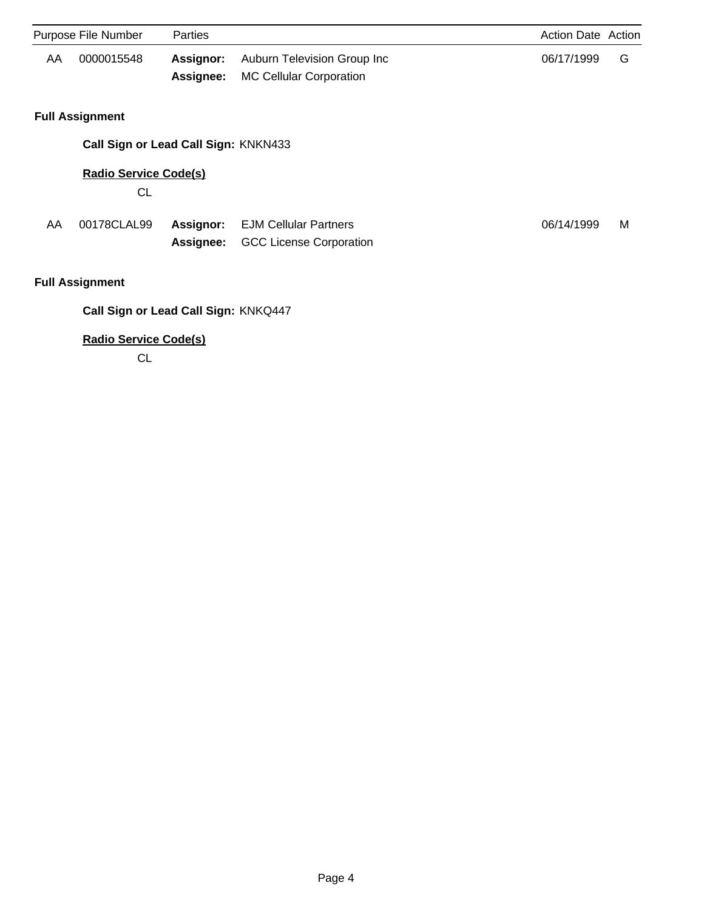| Purpose File Number |                                      | <b>Parties</b>                |                                                                | <b>Action Date Action</b> |   |
|---------------------|--------------------------------------|-------------------------------|----------------------------------------------------------------|---------------------------|---|
| AA                  | 0000015548                           | <b>Assignor:</b><br>Assignee: | Auburn Television Group Inc<br><b>MC Cellular Corporation</b>  | 06/17/1999                | G |
|                     | <b>Full Assignment</b>               |                               |                                                                |                           |   |
|                     | Call Sign or Lead Call Sign: KNKN433 |                               |                                                                |                           |   |
|                     | <b>Radio Service Code(s)</b><br>CL   |                               |                                                                |                           |   |
| AA                  | 00178CLAL99                          | Assignor:<br>Assignee:        | <b>EJM Cellular Partners</b><br><b>GCC License Corporation</b> | 06/14/1999                | M |
|                     | <b>Full Assignment</b>               |                               |                                                                |                           |   |
|                     | Call Sign or Lead Call Sign: KNKQ447 |                               |                                                                |                           |   |
|                     | <b>Radio Service Code(s)</b>         |                               |                                                                |                           |   |

CL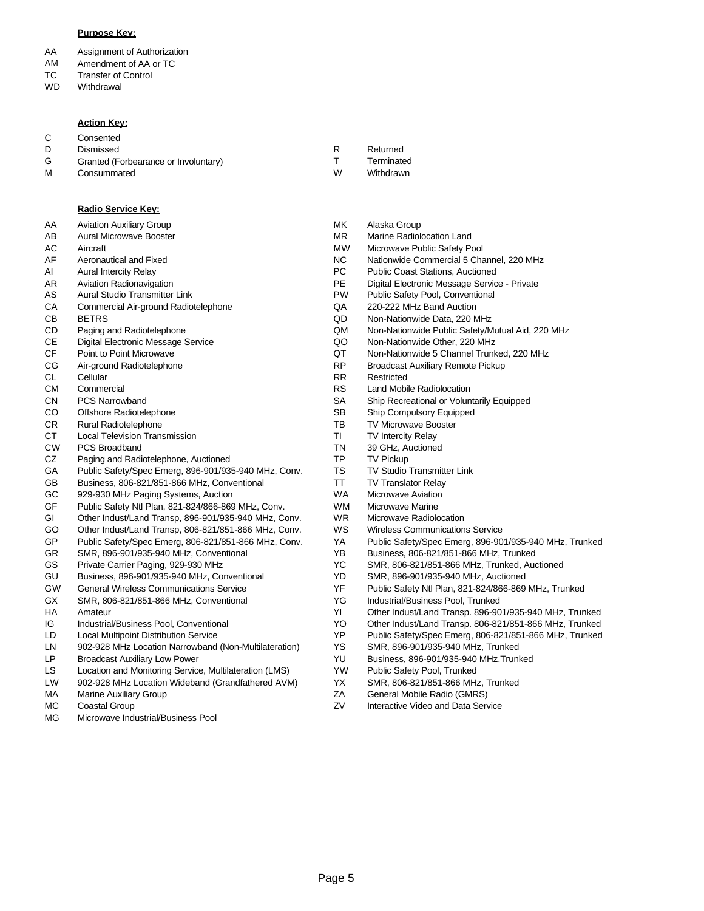### **Purpose Key:**

- AA Assignment of Authorization
- AM Amendment of AA or TC
- TC Transfer of Control
- WD **Withdrawal**

#### **Action Key:**

C **Consented** 

D Dismissed

M

- G Granted (Forbearance or Involuntary)
	- **Consummated**

### **Radio Service Key:**

AA Aviation Auxiliary Group

- AB Aural Microwave Booster
- AC Aircraft
- AF Aeronautical and Fixed
- AI Aural Intercity Relay
- AR Aviation Radionavigation
- AS Aural Studio Transmitter Link
- **CA** Commercial Air-ground Radiotelephone
- CB BETRS
- CD Paging and Radiotelephone
- CE Digital Electronic Message Service
- CF Point to Point Microwave
- CG Air-ground Radiotelephone
- CL Cellular
- CM **Commercial**
- CN PCS Narrowband
- CO Offshore Radiotelephone
- CR Rural Radiotelephone
- **CT** Local Television Transmission
- CW PCS Broadband
- CZ Paging and Radiotelephone, Auctioned
- GA Public Safety/Spec Emerg, 896-901/935-940 MHz, Conv.
- GB Business, 806-821/851-866 MHz, Conventional
- GC 929-930 MHz Paging Systems, Auction
- GF Public Safety Ntl Plan, 821-824/866-869 MHz, Conv.
- GI Other Indust/Land Transp, 896-901/935-940 MHz, Conv.
- GO Other Indust/Land Transp, 806-821/851-866 MHz, Conv.
- GP Public Safety/Spec Emerg, 806-821/851-866 MHz, Conv.
- GR SMR, 896-901/935-940 MHz, Conventional
- GS Private Carrier Paging, 929-930 MHz
- GU Business, 896-901/935-940 MHz, Conventional
- GW General Wireless Communications Service
- GX SMR, 806-821/851-866 MHz, Conventional
- HA Amateur
- IG Industrial/Business Pool, Conventional
- LD Local Multipoint Distribution Service
- LN 902-928 MHz Location Narrowband (Non-Multilateration)
- LP Broadcast Auxiliary Low Power
- LS Location and Monitoring Service, Multilateration (LMS)
- LW 902-928 MHz Location Wideband (Grandfathered AVM)
- MA Marine Auxiliary Group
- MC Coastal Group
- MG Microwave Industrial/Business Pool
- Returned R
	- **Terminated**

T

- Withdrawn W
- Alaska Group MK
- MR Marine Radiolocation Land
- MW Microwave Public Safety Pool
- NC Nationwide Commercial 5 Channel, 220 MHz<br>PC Public Coast Stations. Auctioned
- Public Coast Stations, Auctioned
- PE Digital Electronic Message Service Private
- PW Public Safety Pool, Conventional
- QA 220-222 MHz Band Auction
- QD Non-Nationwide Data, 220 MHz
- QM Non-Nationwide Public Safety/Mutual Aid, 220 MHz
- QO Non-Nationwide Other, 220 MHz
- QT Non-Nationwide 5 Channel Trunked, 220 MHz
- RP Broadcast Auxiliary Remote Pickup
- RR Restricted
	- RS Land Mobile Radiolocation
	- SA Ship Recreational or Voluntarily Equipped
	- SB Ship Compulsory Equipped
	- TB TV Microwave Booster
	- TI TV Intercity Relay
	- TN 39 GHz, Auctioned
	- TP TV Pickup
	- TS TV Studio Transmitter Link
	- TT TV Translator Relay
	- WA Microwave Aviation
	- WM Microwave Marine
	- WR Microwave Radiolocation
	- WS Wireless Communications Service
	- YA Public Safety/Spec Emerg, 896-901/935-940 MHz, Trunked
	- YB Business, 806-821/851-866 MHz, Trunked
	- YC SMR, 806-821/851-866 MHz, Trunked, Auctioned
	- YD SMR, 896-901/935-940 MHz, Auctioned
	- YF Public Safety Ntl Plan, 821-824/866-869 MHz, Trunked
	- YG Industrial/Business Pool, Trunked
	- YI Other Indust/Land Transp. 896-901/935-940 MHz, Trunked
	- YO Other Indust/Land Transp. 806-821/851-866 MHz, Trunked
	- YP Public Safety/Spec Emerg, 806-821/851-866 MHz, Trunked
	- YS SMR, 896-901/935-940 MHz, Trunked
	- YU Business, 896-901/935-940 MHz,Trunked
	- YW Public Safety Pool, Trunked
- YX SMR, 806-821/851-866 MHz, Trunked
- ZA General Mobile Radio (GMRS)
- ZV Interactive Video and Data Service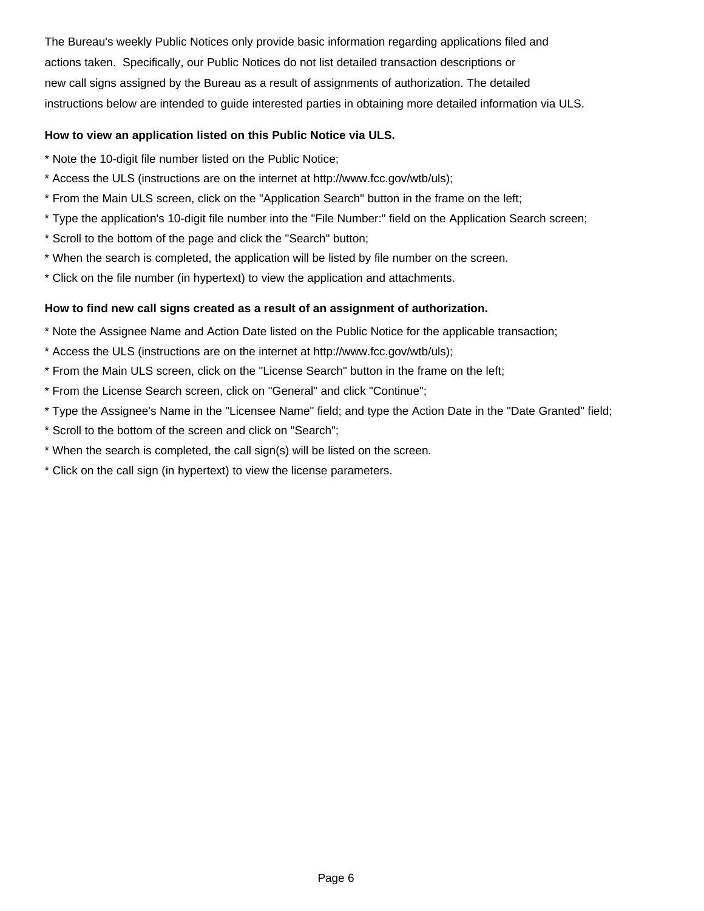instructions below are intended to guide interested parties in obtaining more detailed information via ULS. new call signs assigned by the Bureau as a result of assignments of authorization. The detailed actions taken. Specifically, our Public Notices do not list detailed transaction descriptions or The Bureau's weekly Public Notices only provide basic information regarding applications filed and

# **How to view an application listed on this Public Notice via ULS.**

- \* Note the 10-digit file number listed on the Public Notice;
- \* Access the ULS (instructions are on the internet at http://www.fcc.gov/wtb/uls);
- \* From the Main ULS screen, click on the "Application Search" button in the frame on the left;
- \* Type the application's 10-digit file number into the "File Number:" field on the Application Search screen;
- \* Scroll to the bottom of the page and click the "Search" button;
- \* When the search is completed, the application will be listed by file number on the screen.
- \* Click on the file number (in hypertext) to view the application and attachments.

# **How to find new call signs created as a result of an assignment of authorization.**

\* Note the Assignee Name and Action Date listed on the Public Notice for the applicable transaction;

- \* Access the ULS (instructions are on the internet at http://www.fcc.gov/wtb/uls);
- \* From the Main ULS screen, click on the "License Search" button in the frame on the left;
- \* From the License Search screen, click on "General" and click "Continue";
- \* Type the Assignee's Name in the "Licensee Name" field; and type the Action Date in the "Date Granted" field;
- \* Scroll to the bottom of the screen and click on "Search";
- \* When the search is completed, the call sign(s) will be listed on the screen.
- \* Click on the call sign (in hypertext) to view the license parameters.